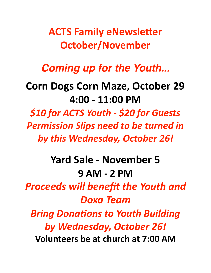**ACTS Family eNewsletter October/November** 

## *Coming up for the Youth...*

## **Corn Dogs Corn Maze, October 29 4:00 - 11:00 PM**

*\$10 for ACTS Youth - \$20 for Guests*  **Permission Slips need to be turned in** by this Wednesday, October 26!

**Yard Sale - November 5 9 AM - 2 PM Proceeds will benefit the Youth and** *Doxa Team Bring Donations to Youth Building by Wednesday, October 26!*  **Volunteers be at church at 7:00 AM**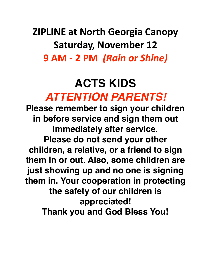**ZIPLINE at North Georgia Canopy Saturday, November 12 9 AM - 2 PM** *(Rain or Shine)*

# **ACTS KIDS**  *ATTENTION PARENTS!*

**Please remember to sign your children in before service and sign them out immediately after service. Please do not send your other children, a relative, or a friend to sign them in or out. Also, some children are just showing up and no one is signing them in. Your cooperation in protecting the safety of our children is appreciated! Thank you and God Bless You!**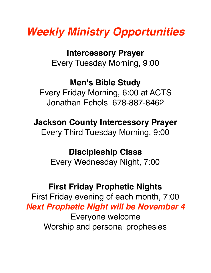# *Weekly Ministry Opportunities*

**Intercessory Prayer** Every Tuesday Morning, 9:00

### **Men's Bible Study**

Every Friday Morning, 6:00 at ACTS Jonathan Echols 678-887-8462

**Jackson County Intercessory Prayer** Every Third Tuesday Morning, 9:00

#### **Discipleship Class** Every Wednesday Night, 7:00

### **First Friday Prophetic Nights**

First Friday evening of each month, 7:00 *Next Prophetic Night will be November 4* Everyone welcome Worship and personal prophesies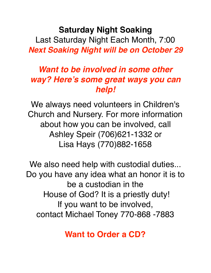**Saturday Night Soaking** Last Saturday Night Each Month, 7:00

*Next Soaking Night will be on October 29*

#### *Want to be involved in some other way? Here's some great ways you can help!*

We always need volunteers in Children's Church and Nursery. For more information about how you can be involved, call Ashley Speir (706)621-1332 or Lisa Hays (770)882-1658

We also need help with custodial duties... Do you have any idea what an honor it is to be a custodian in the House of God? It is a priestly duty! If you want to be involved, contact Michael Toney 770-868 -7883

**Want to Order a CD?**